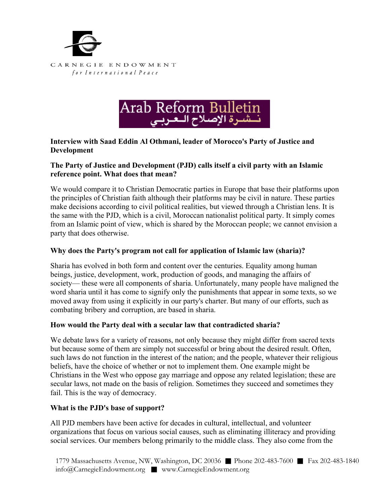



## **Interview with Saad Eddin Al Othmani, leader of Morocco's Party of Justice and Development**

### **The Party of Justice and Development (PJD) calls itself a civil party with an Islamic reference point. What does that mean?**

We would compare it to Christian Democratic parties in Europe that base their platforms upon the principles of Christian faith although their platforms may be civil in nature. These parties make decisions according to civil political realities, but viewed through a Christian lens. It is the same with the PJD, which is a civil, Moroccan nationalist political party. It simply comes from an Islamic point of view, which is shared by the Moroccan people; we cannot envision a party that does otherwise.

## **Why does the Party's program not call for application of Islamic law (sharia)?**

Sharia has evolved in both form and content over the centuries. Equality among human beings, justice, development, work, production of goods, and managing the affairs of society— these were all components of sharia. Unfortunately, many people have maligned the word sharia until it has come to signify only the punishments that appear in some texts, so we moved away from using it explicitly in our party's charter. But many of our efforts, such as combating bribery and corruption, are based in sharia.

#### **How would the Party deal with a secular law that contradicted sharia?**

We debate laws for a variety of reasons, not only because they might differ from sacred texts but because some of them are simply not successful or bring about the desired result. Often, such laws do not function in the interest of the nation; and the people, whatever their religious beliefs, have the choice of whether or not to implement them. One example might be Christians in the West who oppose gay marriage and oppose any related legislation; these are secular laws, not made on the basis of religion. Sometimes they succeed and sometimes they fail. This is the way of democracy.

#### **What is the PJD's base of support?**

All PJD members have been active for decades in cultural, intellectual, and volunteer organizations that focus on various social causes, such as eliminating illiteracy and providing social services. Our members belong primarily to the middle class. They also come from the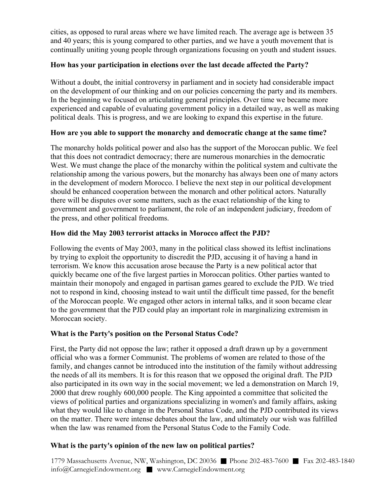cities, as opposed to rural areas where we have limited reach. The average age is between 35 and 40 years; this is young compared to other parties, and we have a youth movement that is continually uniting young people through organizations focusing on youth and student issues.

## **How has your participation in elections over the last decade affected the Party?**

Without a doubt, the initial controversy in parliament and in society had considerable impact on the development of our thinking and on our policies concerning the party and its members. In the beginning we focused on articulating general principles. Over time we became more experienced and capable of evaluating government policy in a detailed way, as well as making political deals. This is progress, and we are looking to expand this expertise in the future.

## **How are you able to support the monarchy and democratic change at the same time?**

The monarchy holds political power and also has the support of the Moroccan public. We feel that this does not contradict democracy; there are numerous monarchies in the democratic West. We must change the place of the monarchy within the political system and cultivate the relationship among the various powers, but the monarchy has always been one of many actors in the development of modern Morocco. I believe the next step in our political development should be enhanced cooperation between the monarch and other political actors. Naturally there will be disputes over some matters, such as the exact relationship of the king to government and government to parliament, the role of an independent judiciary, freedom of the press, and other political freedoms.

## **How did the May 2003 terrorist attacks in Morocco affect the PJD?**

Following the events of May 2003, many in the political class showed its leftist inclinations by trying to exploit the opportunity to discredit the PJD, accusing it of having a hand in terrorism. We know this accusation arose because the Party is a new political actor that quickly became one of the five largest parties in Moroccan politics. Other parties wanted to maintain their monopoly and engaged in partisan games geared to exclude the PJD. We tried not to respond in kind, choosing instead to wait until the difficult time passed, for the benefit of the Moroccan people. We engaged other actors in internal talks, and it soon became clear to the government that the PJD could play an important role in marginalizing extremism in Moroccan society.

# **What is the Party's position on the Personal Status Code?**

First, the Party did not oppose the law; rather it opposed a draft drawn up by a government official who was a former Communist. The problems of women are related to those of the family, and changes cannot be introduced into the institution of the family without addressing the needs of all its members. It is for this reason that we opposed the original draft. The PJD also participated in its own way in the social movement; we led a demonstration on March 19, 2000 that drew roughly 600,000 people. The King appointed a committee that solicited the views of political parties and organizations specializing in women's and family affairs, asking what they would like to change in the Personal Status Code, and the PJD contributed its views on the matter. There were intense debates about the law, and ultimately our wish was fulfilled when the law was renamed from the Personal Status Code to the Family Code.

# **What is the party's opinion of the new law on political parties?**

1779 Massachusetts Avenue, NW, Washington, DC 20036 ■ Phone 202-483-7600 ■ Fax 202-483-1840 info@CarnegieEndowment.org ■ www.CarnegieEndowment.org